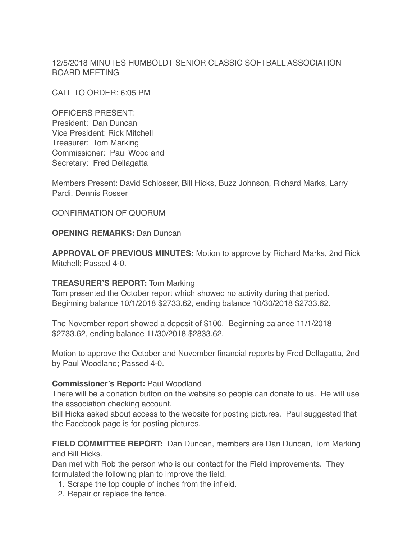12/5/2018 MINUTES HUMBOLDT SENIOR CLASSIC SOFTBALL ASSOCIATION BOARD MEETING

CALL TO ORDER: 6:05 PM

OFFICERS PRESENT: President: Dan Duncan Vice President: Rick Mitchell Treasurer: Tom Marking Commissioner: Paul Woodland Secretary: Fred Dellagatta

Members Present: David Schlosser, Bill Hicks, Buzz Johnson, Richard Marks, Larry Pardi, Dennis Rosser

CONFIRMATION OF QUORUM

**OPENING REMARKS:** Dan Duncan

**APPROVAL OF PREVIOUS MINUTES:** Motion to approve by Richard Marks, 2nd Rick Mitchell; Passed 4-0.

### **TREASURER'S REPORT:** Tom Marking

Tom presented the October report which showed no activity during that period. Beginning balance 10/1/2018 \$2733.62, ending balance 10/30/2018 \$2733.62.

The November report showed a deposit of \$100. Beginning balance 11/1/2018 \$2733.62, ending balance 11/30/2018 \$2833.62.

Motion to approve the October and November financial reports by Fred Dellagatta, 2nd by Paul Woodland; Passed 4-0.

#### **Commissioner's Report:** Paul Woodland

There will be a donation button on the website so people can donate to us. He will use the association checking account.

Bill Hicks asked about access to the website for posting pictures. Paul suggested that the Facebook page is for posting pictures.

**FIELD COMMITTEE REPORT:** Dan Duncan, members are Dan Duncan, Tom Marking and Bill Hicks.

Dan met with Rob the person who is our contact for the Field improvements. They formulated the following plan to improve the field.

- 1. Scrape the top couple of inches from the infield.
- 2. Repair or replace the fence.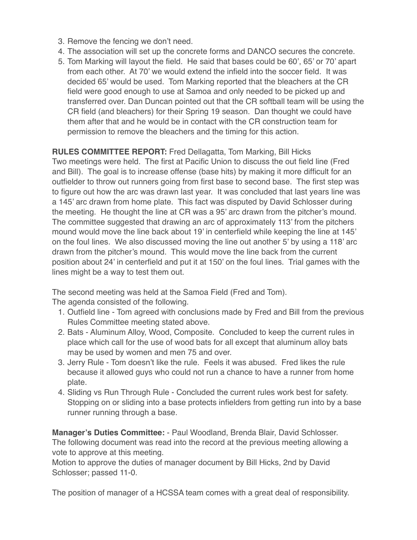- 3. Remove the fencing we don't need.
- 4. The association will set up the concrete forms and DANCO secures the concrete.
- 5. Tom Marking will layout the field. He said that bases could be 60', 65' or 70' apart from each other. At 70' we would extend the infield into the soccer field. It was decided 65' would be used. Tom Marking reported that the bleachers at the CR field were good enough to use at Samoa and only needed to be picked up and transferred over. Dan Duncan pointed out that the CR softball team will be using the CR field (and bleachers) for their Spring 19 season. Dan thought we could have them after that and he would be in contact with the CR construction team for permission to remove the bleachers and the timing for this action.

**RULES COMMITTEE REPORT:** Fred Dellagatta, Tom Marking, Bill Hicks Two meetings were held. The first at Pacific Union to discuss the out field line (Fred and Bill). The goal is to increase offense (base hits) by making it more difficult for an outfielder to throw out runners going from first base to second base. The first step was to figure out how the arc was drawn last year. It was concluded that last years line was a 145' arc drawn from home plate. This fact was disputed by David Schlosser during the meeting. He thought the line at CR was a 95' arc drawn from the pitcher's mound. The committee suggested that drawing an arc of approximately 113' from the pitchers mound would move the line back about 19' in centerfield while keeping the line at 145' on the foul lines. We also discussed moving the line out another 5' by using a 118' arc drawn from the pitcher's mound. This would move the line back from the current position about 24' in centerfield and put it at 150' on the foul lines. Trial games with the lines might be a way to test them out.

The second meeting was held at the Samoa Field (Fred and Tom). The agenda consisted of the following.

- 1. Outfield line Tom agreed with conclusions made by Fred and Bill from the previous Rules Committee meeting stated above.
- 2. Bats Aluminum Alloy, Wood, Composite. Concluded to keep the current rules in place which call for the use of wood bats for all except that aluminum alloy bats may be used by women and men 75 and over.
- 3. Jerry Rule Tom doesn't like the rule. Feels it was abused. Fred likes the rule because it allowed guys who could not run a chance to have a runner from home plate.
- 4. Sliding vs Run Through Rule Concluded the current rules work best for safety. Stopping on or sliding into a base protects infielders from getting run into by a base runner running through a base.

**Manager's Duties Committee:** - Paul Woodland, Brenda Blair, David Schlosser. The following document was read into the record at the previous meeting allowing a vote to approve at this meeting.

Motion to approve the duties of manager document by Bill Hicks, 2nd by David Schlosser; passed 11-0.

The position of manager of a HCSSA team comes with a great deal of responsibility.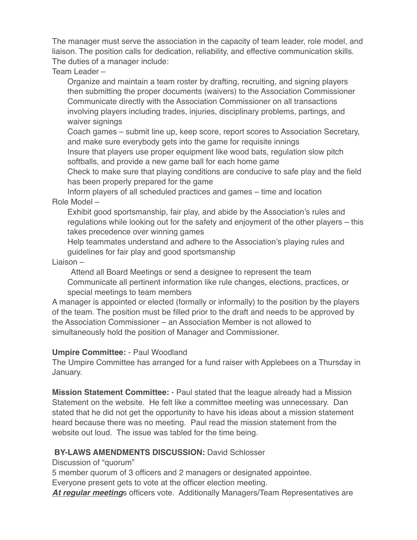The manager must serve the association in the capacity of team leader, role model, and liaison. The position calls for dedication, reliability, and effective communication skills. The duties of a manager include:

Team Leader –

Organize and maintain a team roster by drafting, recruiting, and signing players then submitting the proper documents (waivers) to the Association Commissioner Communicate directly with the Association Commissioner on all transactions involving players including trades, injuries, disciplinary problems, partings, and waiver signings

Coach games – submit line up, keep score, report scores to Association Secretary, and make sure everybody gets into the game for requisite innings

Insure that players use proper equipment like wood bats, regulation slow pitch softballs, and provide a new game ball for each home game

Check to make sure that playing conditions are conducive to safe play and the field has been properly prepared for the game

Inform players of all scheduled practices and games – time and location Role Model –

Exhibit good sportsmanship, fair play, and abide by the Association's rules and regulations while looking out for the safety and enjoyment of the other players – this takes precedence over winning games

Help teammates understand and adhere to the Association's playing rules and guidelines for fair play and good sportsmanship

### Liaison –

Attend all Board Meetings or send a designee to represent the team Communicate all pertinent information like rule changes, elections, practices, or special meetings to team members

A manager is appointed or elected (formally or informally) to the position by the players of the team. The position must be filled prior to the draft and needs to be approved by the Association Commissioner – an Association Member is not allowed to simultaneously hold the position of Manager and Commissioner.

# **Umpire Committee:** - Paul Woodland

The Umpire Committee has arranged for a fund raiser with Applebees on a Thursday in January.

**Mission Statement Committee:** - Paul stated that the league already had a Mission Statement on the website. He felt like a committee meeting was unnecessary. Dan stated that he did not get the opportunity to have his ideas about a mission statement heard because there was no meeting. Paul read the mission statement from the website out loud. The issue was tabled for the time being.

# **BY-LAWS AMENDMENTS DISCUSSION: David Schlosser**

Discussion of "quorum"

5 member quorum of 3 officers and 2 managers or designated appointee.

Everyone present gets to vote at the officer election meeting.

*At regular meeting*s officers vote. Additionally Managers/Team Representatives are